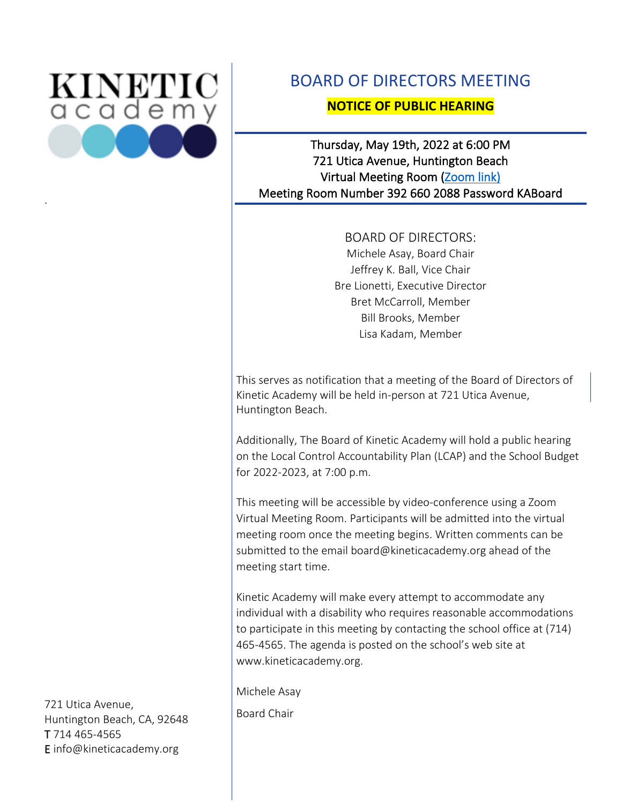

.

# BOARD OF DIRECTORS MEETING

## **NOTICE OF PUBLIC HEARING**

## Thursday, May 19th, 2022 at 6:00 PM 721 Utica Avenue, Huntington Beach Virtual Meeting Room [\(Zoom link\)](https://kineticacademy-org.zoom.us/j/3926602088?pwd=aUV3R2l2eU45ZktkdWxpamNwVUFaUT09)  Meeting Room Number 392 660 2088 Password KABoard

BOARD OF DIRECTORS: Michele Asay, Board Chair Jeffrey K. Ball, Vice Chair Bre Lionetti, Executive Director Bret McCarroll, Member Bill Brooks, Member Lisa Kadam, Member

This serves as notification that a meeting of the Board of Directors of Kinetic Academy will be held in-person at 721 Utica Avenue, Huntington Beach.

Additionally, The Board of Kinetic Academy will hold a public hearing on the Local Control Accountability Plan (LCAP) and the School Budget for 2022-2023, at 7:00 p.m.

This meeting will be accessible by video-conference using a Zoom Virtual Meeting Room. Participants will be admitted into the virtual meeting room once the meeting begins. Written comments can be submitted to the email board@kineticacademy.org ahead of the meeting start time.

Kinetic Academy will make every attempt to accommodate any individual with a disability who requires reasonable accommodations to participate in this meeting by contacting the school office at (714) 465-4565. The agenda is posted on the school's web site at www.kineticacademy.org.

Michele Asay

Board Chair

721 Utica Avenue, Huntington Beach, CA, 92648 T 714 465-4565 E info@kineticacademy.org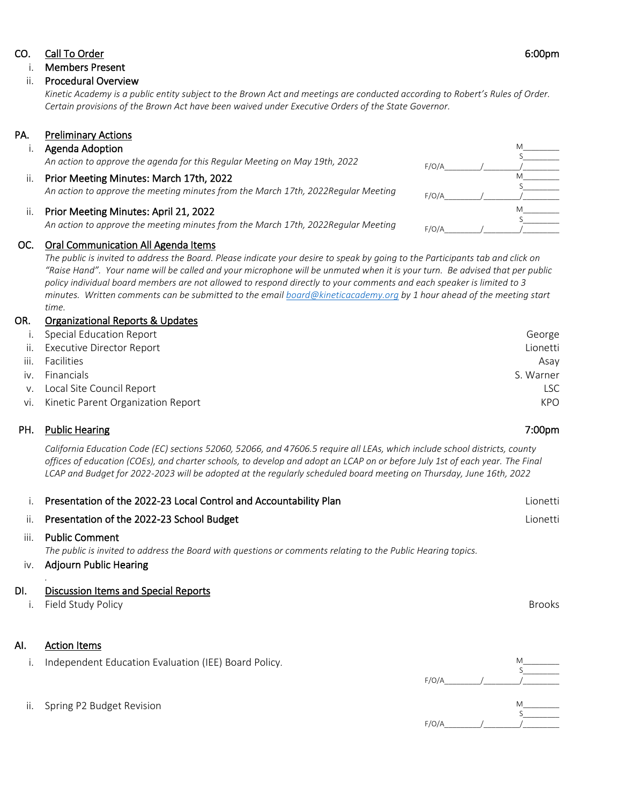#### CO. Call To Order 6:00pm

#### i. Members Present

#### ii. Procedural Overview

*Kinetic Academy is a public entity subject to the Brown Act and meetings are conducted according to Robert's Rules of Order. Certain provisions of the Brown Act have been waived under Executive Orders of the State Governor.*

## PA. Preliminary Actions

#### i. Agenda Adoption

| An action to approve the agenda for this Regular Meeting on May 19th, 2022 |
|----------------------------------------------------------------------------|
|                                                                            |

#### ii. Prior Meeting Minutes: March 17th, 2022 *An action to approve the meeting minutes from the March 17th, 2022Regular Meeting*

#### ii. Prior Meeting Minutes: April 21, 2022

*An action to approve the meeting minutes from the March 17th, 2022Regular Meeting* 

#### OC. Oral Communication All Agenda Items

*The public is invited to address the Board. Please indicate your desire to speak by going to the Participants tab and click on "Raise Hand". Your name will be called and your microphone will be unmuted when it is your turn. Be advised that per public policy individual board members are not allowed to respond directly to your comments and each speaker is limited to 3 minutes. Written comments can be submitted to the email [board@kineticacademy.org](mailto:board@kineticacademy.org) by 1 hour ahead of the meeting start time.*

#### OR. Organizational Reports & Updates

| i. Special Education Report   |                                        | George    |
|-------------------------------|----------------------------------------|-----------|
| ii. Executive Director Report |                                        | Lionetti  |
| iii. Facilities               |                                        | Asav      |
| iv. Financials                |                                        | S. Warner |
| v. Local Site Council Report  |                                        | lsc       |
|                               | vi. Kinetic Parent Organization Report | KPO       |
|                               |                                        |           |

#### PH. Public Hearing 7:00pm

 *California Education Code (EC) sections 52060, 52066, and 47606.5 require all LEAs, which include school districts, county offices of education (COEs), and charter schools, to develop and adopt an LCAP on or before July 1st of each year. The Final LCAP and Budget for 2022-2023 will be adopted at the regularly scheduled board meeting on Thursday, June 16th, 2022*

| ii. Presentation of the 2022-23 School Budget                     | Lionetti |
|-------------------------------------------------------------------|----------|
|                                                                   |          |
| Presentation of the 2022-23 Local Control and Accountability Plan | Lionetti |

#### iii. Public Comment

*The public is invited to address the Board with questions or comments relating to the Public Hearing topics.*

### iv. Adjourn Public Hearing

### DI. Discussion Items and Special Reports

i. Field Study Policy Brooks

## AI. Action Items

*.*

| i. Independent Education Evaluation (IEE) Board Policy. |       |  |
|---------------------------------------------------------|-------|--|
|                                                         |       |  |
|                                                         | F/O/A |  |
|                                                         |       |  |
|                                                         |       |  |

#### ii. Spring P2 Budget Revision

M\_\_\_\_\_\_\_\_\_  $S$ M\_\_\_\_\_\_\_\_\_  $S$ 

F/O/A\_\_\_\_\_\_\_\_\_/\_\_\_\_\_\_\_\_\_/\_\_\_\_\_\_\_\_\_  $F/O/A$  $M$  $S$  $F/O/A$